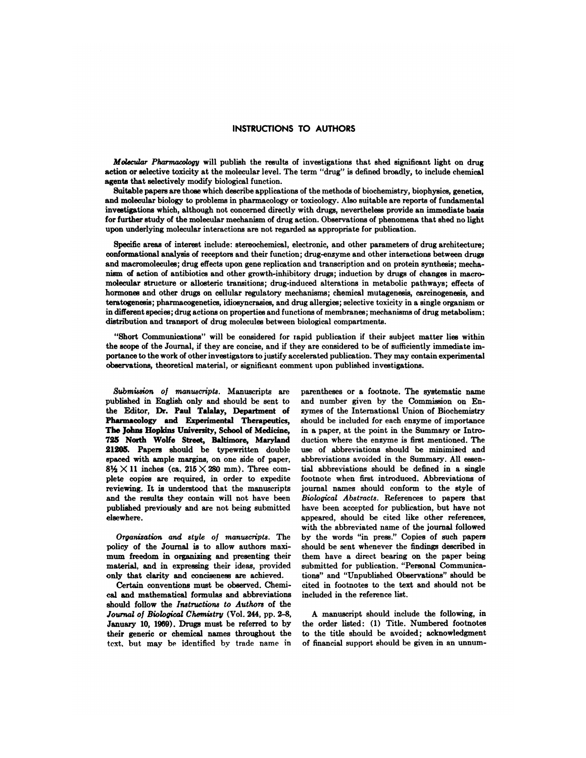## **INSTRUCTIONS TO AUTHORS**

*Molecular Pharmacology* will publish the results of investigations that shed significant light on drug action or selective toxicity at the molecular level. The term "drug" is defined broadly, to include chemical agents that selectively modify biological function.

Suitable papers are thoss which describe applications of the methods of biochemistry, biophysics, genetics, and molecular biology to problems in pharmacology or toxicology. Also suitable are reports of fundamental investigations which, although not concerned directly with drugs, nevertheless provide an immediate basis for further study of the molecular mechanism of drug action. Observations of phenomena that shed no light upon underlying molecular interactions are not regarded as appropriate for publication.

Specific areas of interest include: stereochemical, electronic, and other parameters of drug architecture; conformational analysis of receptors and their function; drug-enzyme and other interactions between drugs and macromolecules; drug effects upon gene replication and transcription and on protein synthesis; mechanism of action of antibiotics and other growth-inhibitory drugs; induction by drugs of changes in macro molecular structure or allosteric transitions; drug-induced alterations in metabolic pathways; effects of hormones and other drugs on cellular regulatory mechanisms; chemical mutagenesis, carcinogenesis, and teratogenesis; pharmacogenetics, idiosyncrasies, and drug allergies; selective toxicity in a single organism or in different species; drug actions on properties and functions of membranes; mechanisms of drug metabolism; distribution and transport of drug molecules between biological compartments.

"Short Communications" will be considered for rapid publication if their subject matter lies within the scope of the Journal, if they are concise, and if they are considered to be of sufficiently immediate importance to the work of other investigators to justify accelerated publication. They may contain experimental observations, theoretical material, or significant comment upon published investigations.

*Submission of manuscripts.* Manuscripts are published in English only and should be sent to the Editor, **Dr. Paul Talalay, Department of Pharmacology and Experimental Therapeutics, The Johns Hopkins** University, **School of Medicine,** 725 **North Wolfe Street, Baltimore, Maryland 21205.** Papers should be typewritten double spaced with ample margins, on one side of paper,  $8\frac{1}{2} \times 11$  inches (ca.  $215 \times 280$  mm). Three complete copies are required, in order to expedite reviewing. It is understood that the manuscripts and the results they contain will not have been published previously and arc not being submitted elsewhere.

*Organization and style of manuscripts.* The policy of the Journal is to allow authors maxi mum freedom in organizing and presenting their material, and in expressing their ideas, provided only that clarity and conciseness are achieved.

Certain conventions must be observed. Chemical and mathematical formulas and abbreviations should follow the *Instructions to Authors* of the *Journal of Biological Chemistry* (Vol. 244, pp. 2-8, January **10,** 1969). Drugs must be referred to by their generic or chemical names throughout the text, hut may be identified by trade name in

parentheses or a footnote. The systematic name and number given by the Commission on Enzymes of the International Union of Biochemistry should be included for each enzyme of importance in a paper, at the point in the Summary or Introduction where the enzyme is first mentioned. The use of abbreviations should be minimized and abbreviations avoided in the Summary. All essential abbreviations should be defined in a single footnote when first introduced. Abbreviations of journal names should conform to the style of *Biological Abstracts.* References to papers that have been accepted for publication, but have not appeared, should be cited like other references, with the abbreviated name of the journal followed by the words "in press." Copies of such papers should be sent whenever the findings described in them have a direct bearing on the paper being submitted for publication. "Personal Communications" and "Unpublished Observations" should be cited in footnotes to the text and should not be included in the reference list.

A manuscript should include the following, in the order listed: (1) Title. Numbered footnotes to the title should be avoided; acknowledgment of financial support should be given in an unnum-